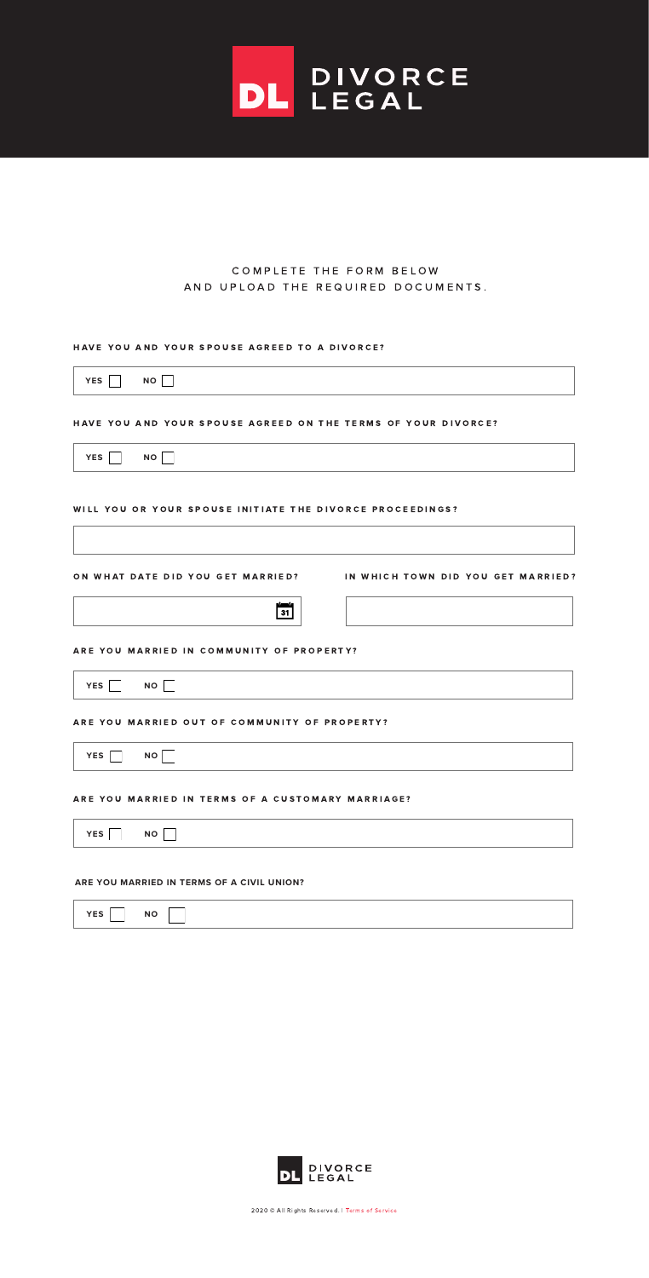## COMPLETE THE FORM BELOW A N D U P L O A D T H E R E Q U I R E D D O C U M E N T S.

DL PIVORCE

### HAVE YOU AND YOUR SPOUSE AGREED TO A DIVORCE?





#### ARE YOU MARRIED IN COMMUNITY OF PROPERTY?

2020 © All Rights Reserved. | Terms of Service



#### WILL YOU OR YOUR SPOUSE INITIATE THE DIVORCE PROCEEDINGS?



### HAVE YOU AND YOUR SPOUSE AGREED ON THE TERMS OF YOUR DIVORCE?



### ARE YOU MARRIED OUT OF COMMUNITY OF PROPERTY?



#### ARE YOU MARRIED IN TERMS OF A CUSTOMARY MARRIAGE?



#### **ARE YOU MARRIED IN TERMS OF A CIVIL UNION?**



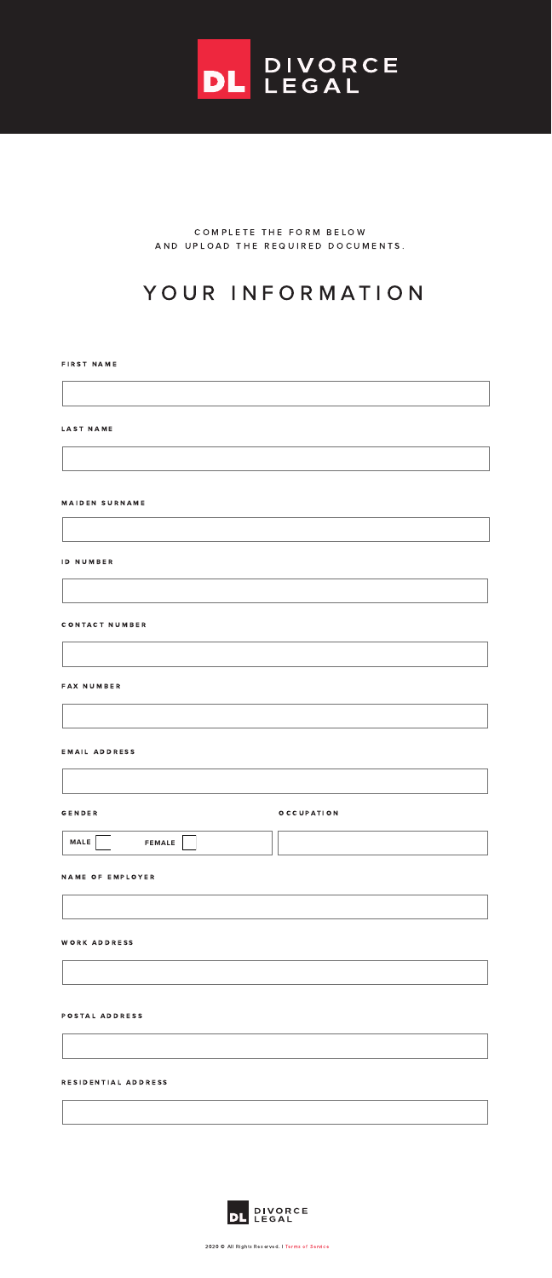# YOUR INFORMATION

COMPLETE THE FORM BELOW AND UPLOAD THE REQUIRED DOCUMENTS.



#### **FIRST NAME**

#### LAST NAME

#### **MAIDEN SURNAME**

ID NUMBER

**CONTACT NUMBER** 

#### FAX NUMBER

#### EMAIL ADDRESS

#### G E N D E R O C C U P A T I O N

2020 © All Rights Reserved. | Terms of Service



#### N A M E O F E M P L O Y E R



WORK ADDRESS

#### POSTAL ADDRESS

RESIDENTIAL ADDRESS

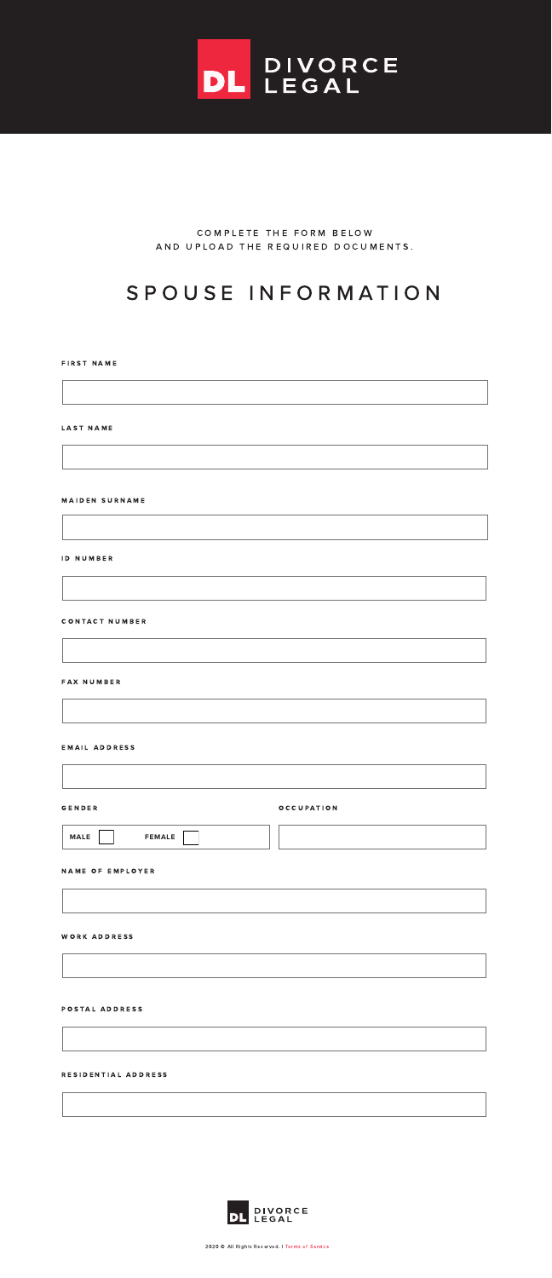# S P O U S E I N F O R M A T I O N

COMPLETE THE FORM BELOW A N D U P L O A D T H E R E Q U I R E D D O C U M E N T S .



#### **FIRST NAME**

#### LAST NAME

#### **MAIDEN SURNAME**

ID NUMBER

**CONTACT NUMBER** 

#### FAX NUMBER

#### EMAIL ADDRESS

#### G E N D E R O C C U P A T I O N

2020 © All Rights Reserved. | Terms of Service



#### NAME OF EMPLOYER



WORK ADDRESS

### POSTAL ADDRESS

RESIDENTIAL ADDRESS

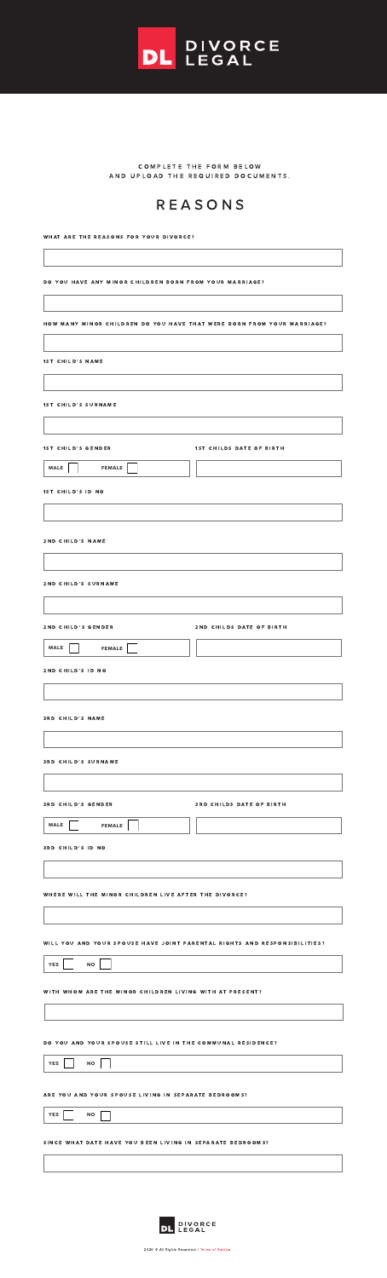

COMPLETE THE FORM BELOW A N D U P L O A D T H E R E Q U I R E D D O C U M E N T S .

2020 © All Rights Reserved. | Terms of Service

# R E A S O N S

WHAT ARE THE REASONS FOR YOUR DIVORCE?

DO YOU HAVE ANY MINOR CHILDREN BORN FROM YOUR MARRIAGE?

#### HOW MANY MINOR CHILDREN DO YOU HAVE THAT WERE BORN FROM YOUR MARRIAGE?

| <b>1ST CHILD'S NAME</b>      |                          |
|------------------------------|--------------------------|
|                              |                          |
| <b>1ST CHILD'S SURNAME</b>   |                          |
|                              |                          |
| <b>1ST CHILD'S GENDER</b>    | 1ST CHILDS DATE OF BIRTH |
| <b>MALE</b><br><b>FEMALE</b> |                          |
| <b>1ST CHILD'S ID NO</b>     |                          |
|                              |                          |
| 2ND CHILD'S NAME             |                          |
|                              |                          |
| 2ND CHILD'S SURNAME          |                          |
|                              |                          |

2 N D C H I L D'S G E N D E R

2 N D C H I L D S D A T E O F B I R T H

| <b>MALE</b><br><b>FEMALE</b>                          |                                 |
|-------------------------------------------------------|---------------------------------|
| 2ND CHILD'S ID NO                                     |                                 |
|                                                       |                                 |
| <b>3RD CHILD'S NAME</b>                               |                                 |
| <b>3RD CHILD'S SURNAME</b>                            |                                 |
|                                                       |                                 |
| <b>3RD CHILD'S GENDER</b>                             | <b>3RD CHILDS DATE OF BIRTH</b> |
| <b>MALE</b><br><b>FEMALE</b>                          |                                 |
| <b>3RD CHILD'S ID NO</b>                              |                                 |
|                                                       |                                 |
| WHERE WILL THE MINOR CHILDREN LIVE AFTER THE DIVORCE? |                                 |
|                                                       |                                 |

#### WILL YOU AND YOUR SPOUSE HAVE JOINT PARENTAL RIGHTS AND RESPONSIBILITIES?

| <b>YES</b> |  |  | <b>NO</b> |  |
|------------|--|--|-----------|--|
|------------|--|--|-----------|--|

### WITH WHOM ARE THE MINOR CHILDREN LIVING WITH AT PRESENT?

## DO YOU AND YOUR SPOUSE STILL LIVE IN THE COMMUNAL RESIDENCE?



#### ARE YOU AND YOUR SPOUSE LIVING IN SEPARATE BEDROOMS?



#### SINCE WHAT DATE HAVE YOU BEEN LIVING IN SEPARATE BEDROOMS?